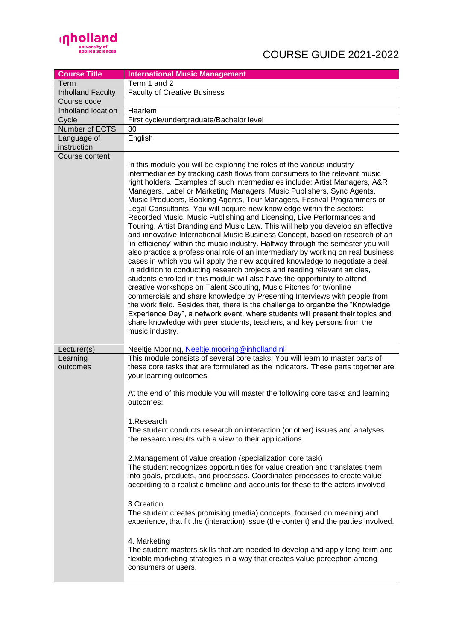

| <b>Course Title</b>        | <b>International Music Management</b>                                                                                                                                                                                                                                                                                                                                                                                                                                                                                                                                                                                                                                                                                                                                                                                                                                                                                                                                                                                                                                                                                                                                                                                                                                                                                                                                                                                                                                                                                                                  |
|----------------------------|--------------------------------------------------------------------------------------------------------------------------------------------------------------------------------------------------------------------------------------------------------------------------------------------------------------------------------------------------------------------------------------------------------------------------------------------------------------------------------------------------------------------------------------------------------------------------------------------------------------------------------------------------------------------------------------------------------------------------------------------------------------------------------------------------------------------------------------------------------------------------------------------------------------------------------------------------------------------------------------------------------------------------------------------------------------------------------------------------------------------------------------------------------------------------------------------------------------------------------------------------------------------------------------------------------------------------------------------------------------------------------------------------------------------------------------------------------------------------------------------------------------------------------------------------------|
| Term                       | Term 1 and 2                                                                                                                                                                                                                                                                                                                                                                                                                                                                                                                                                                                                                                                                                                                                                                                                                                                                                                                                                                                                                                                                                                                                                                                                                                                                                                                                                                                                                                                                                                                                           |
| <b>Inholland Faculty</b>   | <b>Faculty of Creative Business</b>                                                                                                                                                                                                                                                                                                                                                                                                                                                                                                                                                                                                                                                                                                                                                                                                                                                                                                                                                                                                                                                                                                                                                                                                                                                                                                                                                                                                                                                                                                                    |
| Course code                |                                                                                                                                                                                                                                                                                                                                                                                                                                                                                                                                                                                                                                                                                                                                                                                                                                                                                                                                                                                                                                                                                                                                                                                                                                                                                                                                                                                                                                                                                                                                                        |
| Inholland location         | Haarlem                                                                                                                                                                                                                                                                                                                                                                                                                                                                                                                                                                                                                                                                                                                                                                                                                                                                                                                                                                                                                                                                                                                                                                                                                                                                                                                                                                                                                                                                                                                                                |
| Cycle                      | First cycle/undergraduate/Bachelor level                                                                                                                                                                                                                                                                                                                                                                                                                                                                                                                                                                                                                                                                                                                                                                                                                                                                                                                                                                                                                                                                                                                                                                                                                                                                                                                                                                                                                                                                                                               |
| Number of ECTS             | 30                                                                                                                                                                                                                                                                                                                                                                                                                                                                                                                                                                                                                                                                                                                                                                                                                                                                                                                                                                                                                                                                                                                                                                                                                                                                                                                                                                                                                                                                                                                                                     |
| Language of<br>instruction | English                                                                                                                                                                                                                                                                                                                                                                                                                                                                                                                                                                                                                                                                                                                                                                                                                                                                                                                                                                                                                                                                                                                                                                                                                                                                                                                                                                                                                                                                                                                                                |
| Course content             |                                                                                                                                                                                                                                                                                                                                                                                                                                                                                                                                                                                                                                                                                                                                                                                                                                                                                                                                                                                                                                                                                                                                                                                                                                                                                                                                                                                                                                                                                                                                                        |
|                            | In this module you will be exploring the roles of the various industry<br>intermediaries by tracking cash flows from consumers to the relevant music<br>right holders. Examples of such intermediaries include: Artist Managers, A&R<br>Managers, Label or Marketing Managers, Music Publishers, Sync Agents,<br>Music Producers, Booking Agents, Tour Managers, Festival Programmers or<br>Legal Consultants. You will acquire new knowledge within the sectors:<br>Recorded Music, Music Publishing and Licensing, Live Performances and<br>Touring, Artist Branding and Music Law. This will help you develop an effective<br>and innovative International Music Business Concept, based on research of an<br>'in-efficiency' within the music industry. Halfway through the semester you will<br>also practice a professional role of an intermediary by working on real business<br>cases in which you will apply the new acquired knowledge to negotiate a deal.<br>In addition to conducting research projects and reading relevant articles,<br>students enrolled in this module will also have the opportunity to attend<br>creative workshops on Talent Scouting, Music Pitches for tv/online<br>commercials and share knowledge by Presenting Interviews with people from<br>the work field. Besides that, there is the challenge to organize the "Knowledge<br>Experience Day", a network event, where students will present their topics and<br>share knowledge with peer students, teachers, and key persons from the<br>music industry. |
| Lecturer(s)                | Neeltje Mooring, Neeltje.mooring@inholland.nl                                                                                                                                                                                                                                                                                                                                                                                                                                                                                                                                                                                                                                                                                                                                                                                                                                                                                                                                                                                                                                                                                                                                                                                                                                                                                                                                                                                                                                                                                                          |
| Learning<br>outcomes       | This module consists of several core tasks. You will learn to master parts of<br>these core tasks that are formulated as the indicators. These parts together are<br>your learning outcomes.                                                                                                                                                                                                                                                                                                                                                                                                                                                                                                                                                                                                                                                                                                                                                                                                                                                                                                                                                                                                                                                                                                                                                                                                                                                                                                                                                           |
|                            | At the end of this module you will master the following core tasks and learning<br>outcomes:                                                                                                                                                                                                                                                                                                                                                                                                                                                                                                                                                                                                                                                                                                                                                                                                                                                                                                                                                                                                                                                                                                                                                                                                                                                                                                                                                                                                                                                           |
|                            | 1.Research<br>The student conducts research on interaction (or other) issues and analyses<br>the research results with a view to their applications.                                                                                                                                                                                                                                                                                                                                                                                                                                                                                                                                                                                                                                                                                                                                                                                                                                                                                                                                                                                                                                                                                                                                                                                                                                                                                                                                                                                                   |
|                            | 2. Management of value creation (specialization core task)<br>The student recognizes opportunities for value creation and translates them<br>into goals, products, and processes. Coordinates processes to create value<br>according to a realistic timeline and accounts for these to the actors involved.                                                                                                                                                                                                                                                                                                                                                                                                                                                                                                                                                                                                                                                                                                                                                                                                                                                                                                                                                                                                                                                                                                                                                                                                                                            |
|                            | 3. Creation<br>The student creates promising (media) concepts, focused on meaning and<br>experience, that fit the (interaction) issue (the content) and the parties involved.                                                                                                                                                                                                                                                                                                                                                                                                                                                                                                                                                                                                                                                                                                                                                                                                                                                                                                                                                                                                                                                                                                                                                                                                                                                                                                                                                                          |
|                            | 4. Marketing<br>The student masters skills that are needed to develop and apply long-term and<br>flexible marketing strategies in a way that creates value perception among<br>consumers or users.                                                                                                                                                                                                                                                                                                                                                                                                                                                                                                                                                                                                                                                                                                                                                                                                                                                                                                                                                                                                                                                                                                                                                                                                                                                                                                                                                     |